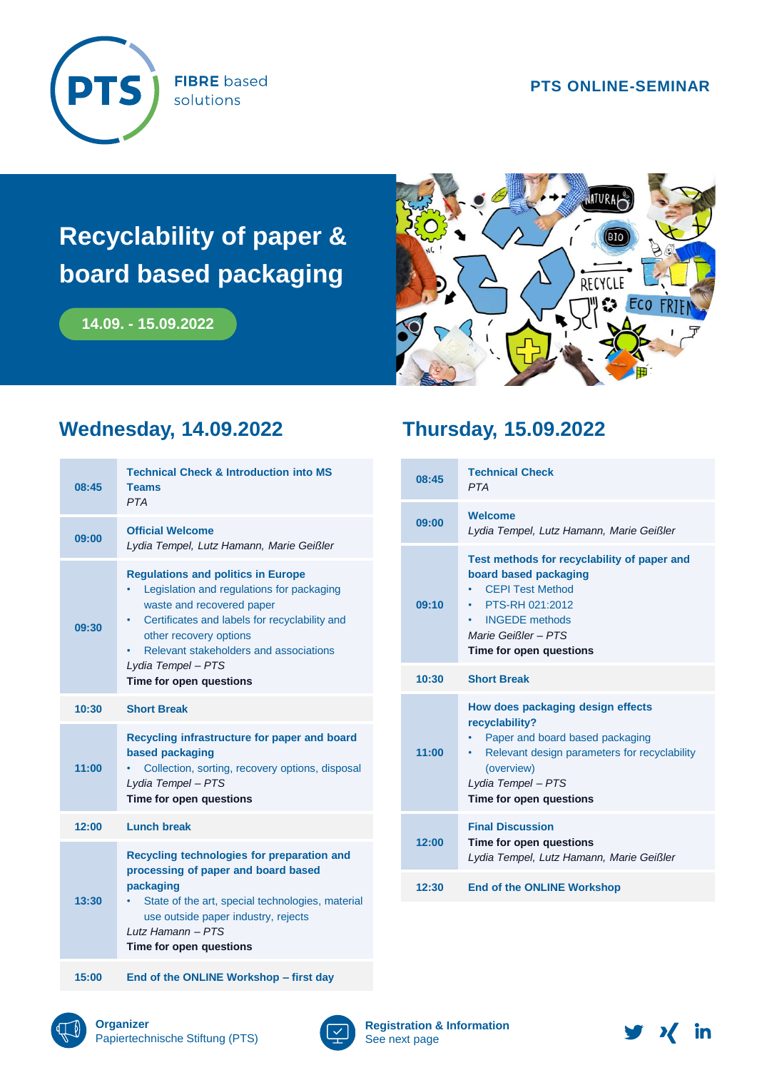

**FIBRE** based solutions

#### **PTS ONLINE-SEMINAR**

# **Recyclability of paper & board based packaging**

**14.09. - 15.09.2022**



## **Wednesday, 14.09.2022**

| 08:45 | <b>Technical Check &amp; Introduction into MS</b><br><b>Teams</b><br><b>PTA</b>                                                                                                                                                                                                                |  |
|-------|------------------------------------------------------------------------------------------------------------------------------------------------------------------------------------------------------------------------------------------------------------------------------------------------|--|
| 09:00 | <b>Official Welcome</b><br>Lydia Tempel, Lutz Hamann, Marie Geißler                                                                                                                                                                                                                            |  |
| 09:30 | <b>Regulations and politics in Europe</b><br>Legislation and regulations for packaging<br>waste and recovered paper<br>Certificates and labels for recyclability and<br>٠<br>other recovery options<br>Relevant stakeholders and associations<br>Lydia Tempel - PTS<br>Time for open questions |  |
| 10:30 | <b>Short Break</b>                                                                                                                                                                                                                                                                             |  |
| 11:00 | Recycling infrastructure for paper and board<br>based packaging<br>Collection, sorting, recovery options, disposal<br>Lydia Tempel - PTS<br>Time for open questions                                                                                                                            |  |
| 12:00 | <b>Lunch break</b>                                                                                                                                                                                                                                                                             |  |
| 13:30 | Recycling technologies for preparation and<br>processing of paper and board based<br>packaging<br>State of the art, special technologies, material<br>use outside paper industry, rejects<br>Lutz Hamann - PTS<br>Time for open questions                                                      |  |

### **Thursday, 15.09.2022**

| 08:45 | <b>Technical Check</b><br><b>PTA</b>                                                                                                                                                                    |
|-------|---------------------------------------------------------------------------------------------------------------------------------------------------------------------------------------------------------|
| 09:00 | <b>Welcome</b><br>Lydia Tempel, Lutz Hamann, Marie Geißler                                                                                                                                              |
| 09:10 | Test methods for recyclability of paper and<br>board based packaging<br><b>CFPI Test Method</b><br>• PTS-RH 021:2012<br><b>INGEDE</b> methods<br>Marie Geißler-PTS<br>Time for open questions           |
| 10:30 | <b>Short Break</b>                                                                                                                                                                                      |
| 11:00 | How does packaging design effects<br>recyclability?<br>Paper and board based packaging<br>• Relevant design parameters for recyclability<br>(overview)<br>Lydia Tempel - PTS<br>Time for open questions |
| 12:00 | <b>Final Discussion</b><br>Time for open questions<br>Lydia Tempel, Lutz Hamann, Marie Geißler                                                                                                          |
| 12:30 | <b>End of the ONLINE Workshop</b>                                                                                                                                                                       |



**15:00 End of the ONLINE Workshop – first day**